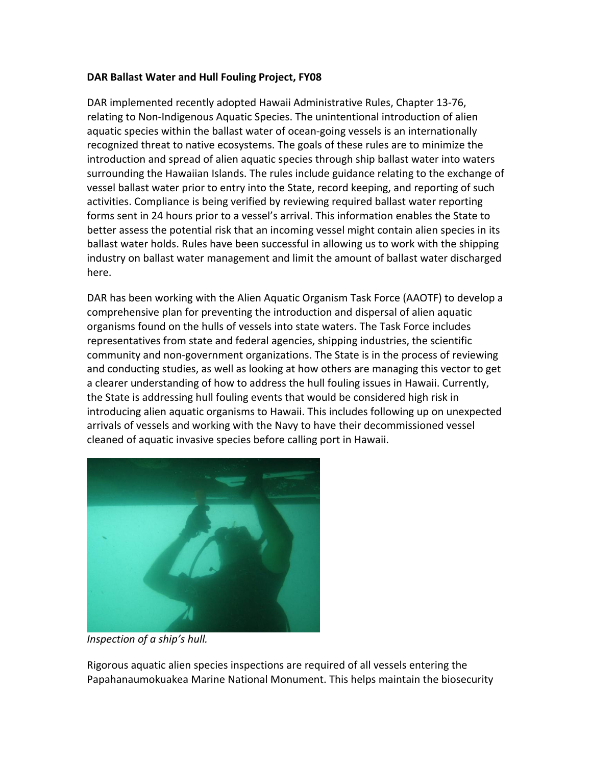## **DAR Ballast Water and Hull Fouling Project, FY08**

DAR implemented recently adopted Hawaii Administrative Rules, Chapter 13-76, relating to Non-Indigenous Aquatic Species. The unintentional introduction of alien aquatic species within the ballast water of ocean-going vessels is an internationally recognized threat to native ecosystems. The goals of these rules are to minimize the introduction and spread of alien aquatic species through ship ballast water into waters surrounding the Hawaiian Islands. The rules include guidance relating to the exchange of vessel ballast water prior to entry into the State, record keeping, and reporting of such activities. Compliance is being verified by reviewing required ballast water reporting forms sent in 24 hours prior to a vessel's arrival. This information enables the State to better assess the potential risk that an incoming vessel might contain alien species in its ballast water holds. Rules have been successful in allowing us to work with the shipping industry on ballast water management and limit the amount of ballast water discharged here. 

DAR has been working with the Alien Aquatic Organism Task Force (AAOTF) to develop a comprehensive plan for preventing the introduction and dispersal of alien aquatic organisms found on the hulls of vessels into state waters. The Task Force includes representatives from state and federal agencies, shipping industries, the scientific community and non-government organizations. The State is in the process of reviewing and conducting studies, as well as looking at how others are managing this vector to get a clearer understanding of how to address the hull fouling issues in Hawaii. Currently, the State is addressing hull fouling events that would be considered high risk in introducing alien aquatic organisms to Hawaii. This includes following up on unexpected arrivals of vessels and working with the Navy to have their decommissioned vessel cleaned of aquatic invasive species before calling port in Hawaii.



*Inspection of a ship's hull.* 

Rigorous aquatic alien species inspections are required of all vessels entering the Papahanaumokuakea Marine National Monument. This helps maintain the biosecurity